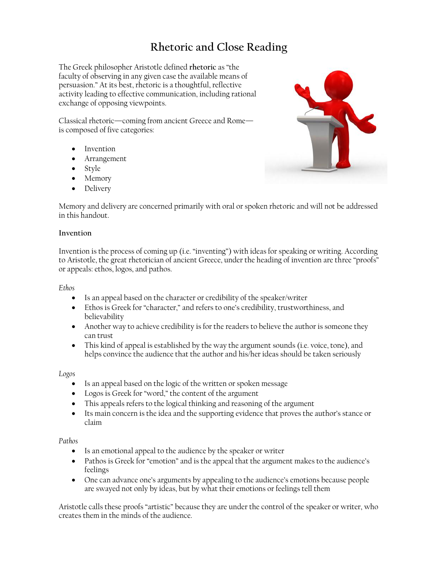# **Rhetoric and Close Reading**

The Greek philosopher Aristotle defined **rhetoric** as "the faculty of observing in any given case the available means of persuasion." At its best, rhetoric is a thoughtful, reflective activity leading to effective communication, including rational exchange of opposing viewpoints.

Classical rhetoric—coming from ancient Greece and Rome is composed of five categories:

- Invention
- Arrangement
- Style
- Memory
- Delivery

Memory and delivery are concerned primarily with oral or spoken rhetoric and will not be addressed in this handout.

## **Invention**

Invention is the process of coming up (i.e. "inventing") with ideas for speaking or writing. According to Aristotle, the great rhetorician of ancient Greece, under the heading of invention are three "proofs" or appeals: ethos, logos, and pathos.

# *Ethos*

- Is an appeal based on the character or credibility of the speaker/writer
- Ethos is Greek for "character," and refers to one's credibility, trustworthiness, and believability
- Another way to achieve credibility is for the readers to believe the author is someone they can trust
- This kind of appeal is established by the way the argument sounds (i.e. voice, tone), and helps convince the audience that the author and his/her ideas should be taken seriously

# *Logos*

- Is an appeal based on the logic of the written or spoken message
- Logos is Greek for "word," the content of the argument
- This appeals refers to the logical thinking and reasoning of the argument
- Its main concern is the idea and the supporting evidence that proves the author's stance or claim

# *Pathos*

- Is an emotional appeal to the audience by the speaker or writer
- Pathos is Greek for "emotion" and is the appeal that the argument makes to the audience's feelings
- One can advance one's arguments by appealing to the audience's emotions because people are swayed not only by ideas, but by what their emotions or feelings tell them

Aristotle calls these proofs "artistic" because they are under the control of the speaker or writer, who creates them in the minds of the audience.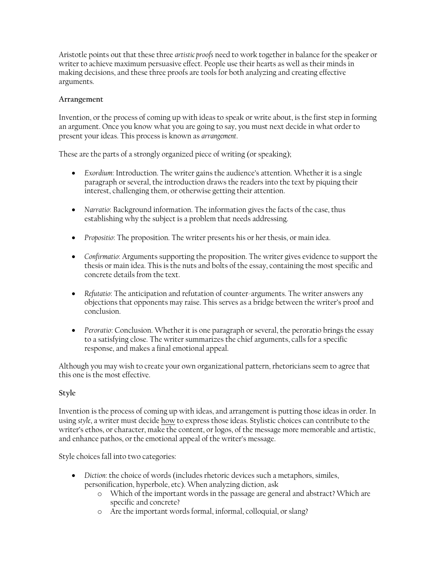Aristotle points out that these three *artistic proofs* need to work together in balance for the speaker or writer to achieve maximum persuasive effect. People use their hearts as well as their minds in making decisions, and these three proofs are tools for both analyzing and creating effective arguments.

## **Arrangement**

Invention, or the process of coming up with ideas to speak or write about, is the first step in forming an argument. Once you know what you are going to say, you must next decide in what order to present your ideas. This process is known as *arrangement*.

These are the parts of a strongly organized piece of writing (or speaking);

- *Exordium*: Introduction. The writer gains the audience's attention. Whether it is a single paragraph or several, the introduction draws the readers into the text by piquing their interest, challenging them, or otherwise getting their attention.
- *Narratio*: Background information. The information gives the facts of the case, thus establishing why the subject is a problem that needs addressing.
- *Propositio*: The proposition. The writer presents his or her thesis, or main idea.
- *Confirmatio*: Arguments supporting the proposition. The writer gives evidence to support the thesis or main idea. This is the nuts and bolts of the essay, containing the most specific and concrete details from the text.
- *Refutatio*: The anticipation and refutation of counter-arguments. The writer answers any objections that opponents may raise. This serves as a bridge between the writer's proof and conclusion.
- *Peroratio*: Conclusion. Whether it is one paragraph or several, the peroratio brings the essay to a satisfying close. The writer summarizes the chief arguments, calls for a specific response, and makes a final emotional appeal.

Although you may wish to create your own organizational pattern, rhetoricians seem to agree that this one is the most effective.

# **Style**

Invention is the process of coming up with ideas, and arrangement is putting those ideas in order. In using *style*, a writer must decide how to express those ideas. Stylistic choices can contribute to the writer's ethos, or character, make the content, or logos, of the message more memorable and artistic, and enhance pathos, or the emotional appeal of the writer's message.

Style choices fall into two categories:

- *Diction*: the choice of words (includes rhetoric devices such a metaphors, similes, personification, hyperbole, etc). When analyzing diction, ask
	- o Which of the important words in the passage are general and abstract? Which are specific and concrete?
	- o Are the important words formal, informal, colloquial, or slang?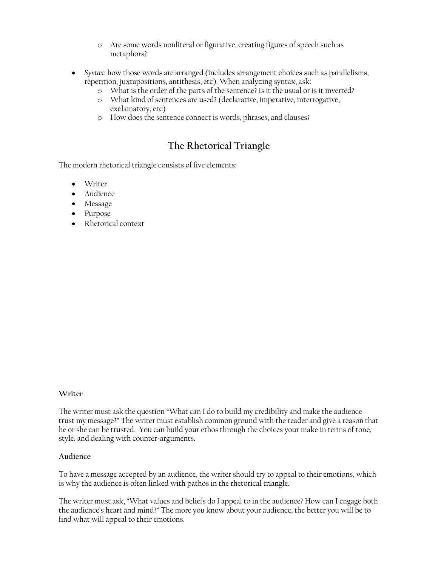- o Are some words nonliteral or figurative, creating figures of speech such as metaphors?
- *Syntax*: how those words are arranged (includes arrangement choices such as parallelisms, repetition, juxtapositions, antithesis, etc). When analyzing syntax, ask:
	- o What is the order of the parts of the sentence? Is it the usual or is it inverted?
	- o What kind of sentences are used? (declarative, imperative, interrogative, exclamatory, etc)
	- o How does the sentence connect is words, phrases, and clauses?

# **The Rhetorical Triangle**

The modern rhetorical triangle consists of five elements:

- Writer
- Audience
- Message
- Purpose
- Rhetorical context

#### **Writer**

The writer must ask the question "What can I do to build my credibility and make the audience trust my message?" The writer must establish common ground with the reader and give a reason that he or she can be trusted. You can build your ethos through the choices your make in terms of tone, style, and dealing with counter-arguments.

#### **Audience**

To have a message accepted by an audience, the writer should try to appeal to their emotions, which is why the audience is often linked with pathos in the rhetorical triangle.

The writer must ask, "What values and beliefs do I appeal to in the audience? How can I engage both the audience's heart and mind?" The more you know about your audience, the better you will be to find what will appeal to their emotions.